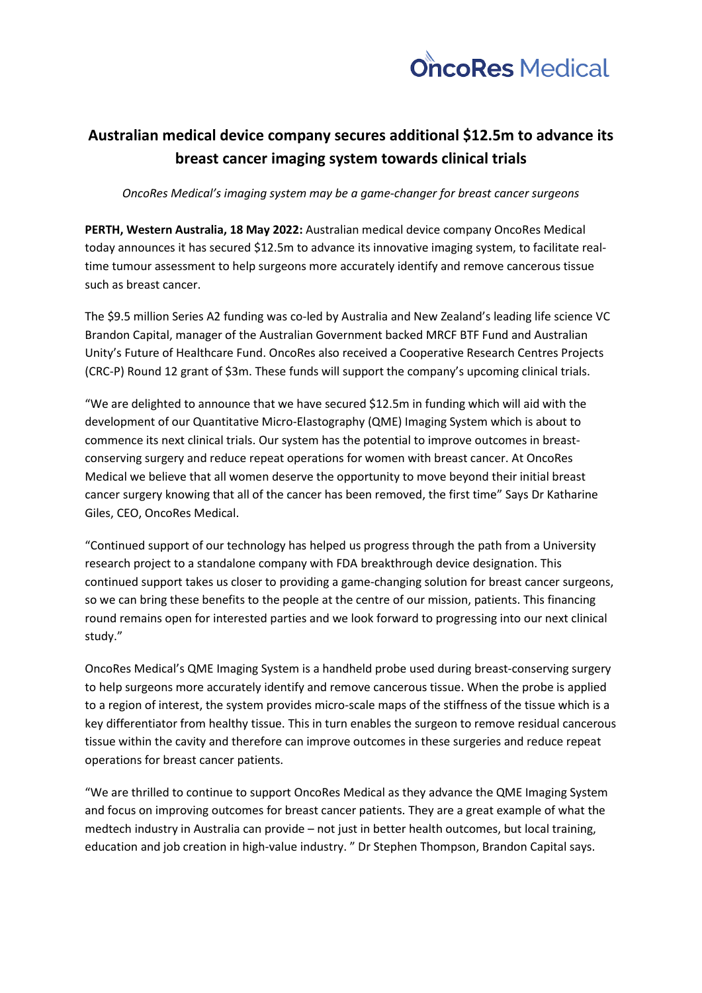

# **Australian medical device company secures additional \$12.5m to advance its breast cancer imaging system towards clinical trials**

*OncoRes Medical's imaging system may be a game-changer for breast cancer surgeons* 

**PERTH, Western Australia, 18 May 2022:** Australian medical device company OncoRes Medical today announces it has secured \$12.5m to advance its innovative imaging system, to facilitate realtime tumour assessment to help surgeons more accurately identify and remove cancerous tissue such as breast cancer.

The \$9.5 million Series A2 funding was co-led by Australia and New Zealand's leading life science VC Brandon Capital, manager of the Australian Government backed MRCF BTF Fund and Australian Unity's Future of Healthcare Fund. OncoRes also received a Cooperative Research Centres Projects (CRC-P) Round 12 grant of \$3m. These funds will support the company's upcoming clinical trials.

"We are delighted to announce that we have secured \$12.5m in funding which will aid with the development of our Quantitative Micro-Elastography (QME) Imaging System which is about to commence its next clinical trials. Our system has the potential to improve outcomes in breastconserving surgery and reduce repeat operations for women with breast cancer. At OncoRes Medical we believe that all women deserve the opportunity to move beyond their initial breast cancer surgery knowing that all of the cancer has been removed, the first time" Says Dr Katharine Giles, CEO, OncoRes Medical.

"Continued support of our technology has helped us progress through the path from a University research project to a standalone company with FDA breakthrough device designation. This continued support takes us closer to providing a game-changing solution for breast cancer surgeons, so we can bring these benefits to the people at the centre of our mission, patients. This financing round remains open for interested parties and we look forward to progressing into our next clinical study."

OncoRes Medical's QME Imaging System is a handheld probe used during breast-conserving surgery to help surgeons more accurately identify and remove cancerous tissue. When the probe is applied to a region of interest, the system provides micro-scale maps of the stiffness of the tissue which is a key differentiator from healthy tissue. This in turn enables the surgeon to remove residual cancerous tissue within the cavity and therefore can improve outcomes in these surgeries and reduce repeat operations for breast cancer patients.

"We are thrilled to continue to support OncoRes Medical as they advance the QME Imaging System and focus on improving outcomes for breast cancer patients. They are a great example of what the medtech industry in Australia can provide – not just in better health outcomes, but local training, education and job creation in high-value industry. " Dr Stephen Thompson, Brandon Capital says.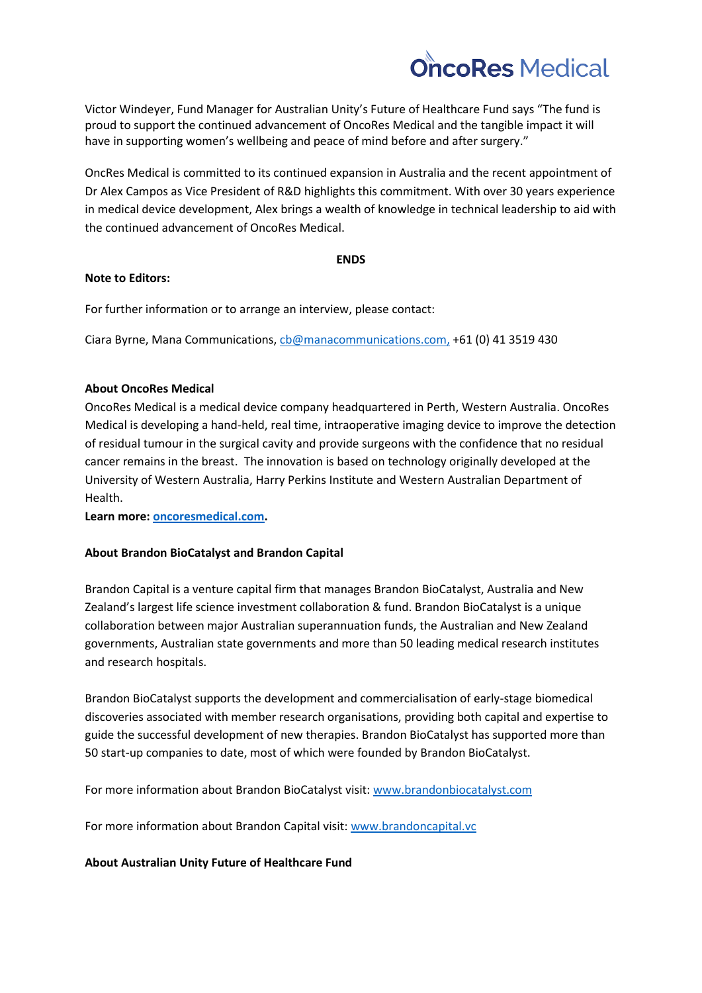

Victor Windeyer, Fund Manager for Australian Unity's Future of Healthcare Fund says "The fund is proud to support the continued advancement of OncoRes Medical and the tangible impact it will have in supporting women's wellbeing and peace of mind before and after surgery."

OncRes Medical is committed to its continued expansion in Australia and the recent appointment of Dr Alex Campos as Vice President of R&D highlights this commitment. With over 30 years experience in medical device development, Alex brings a wealth of knowledge in technical leadership to aid with the continued advancement of OncoRes Medical.

#### **ENDS**

### **Note to Editors:**

For further information or to arrange an interview, please contact:

Ciara Byrne, Mana Communications, [cb@manacommunications.com,](mailto:cb@manacommunications.com) +61 (0) 41 3519 430

## **About OncoRes Medical**

OncoRes Medical is a medical device company headquartered in Perth, Western Australia. OncoRes Medical is developing a hand-held, real time, intraoperative imaging device to improve the detection of residual tumour in the surgical cavity and provide surgeons with the confidence that no residual cancer remains in the breast. The innovation is based on technology originally developed at the University of Western Australia, Harry Perkins Institute and Western Australian Department of Health.

**Learn more: [oncoresmedical.com.](http://www.oncoresmedical.com/)**

### **About Brandon BioCatalyst and Brandon Capital**

Brandon Capital is a venture capital firm that manages Brandon BioCatalyst, Australia and New Zealand's largest life science investment collaboration & fund. Brandon BioCatalyst is a unique collaboration between major Australian superannuation funds, the Australian and New Zealand governments, Australian state governments and more than 50 leading medical research institutes and research hospitals.

Brandon BioCatalyst supports the development and commercialisation of early-stage biomedical discoveries associated with member research organisations, providing both capital and expertise to guide the successful development of new therapies. Brandon BioCatalyst has supported more than 50 start-up companies to date, most of which were founded by Brandon BioCatalyst.

For more information about Brandon BioCatalyst visit: [www.brandonbiocatalyst.com](http://www.brandonbiocatalyst.com/)

For more information about Brandon Capital visit[: www.brandoncapital.vc](http://www.brandoncapital.vc/)

# **About Australian Unity Future of Healthcare Fund**